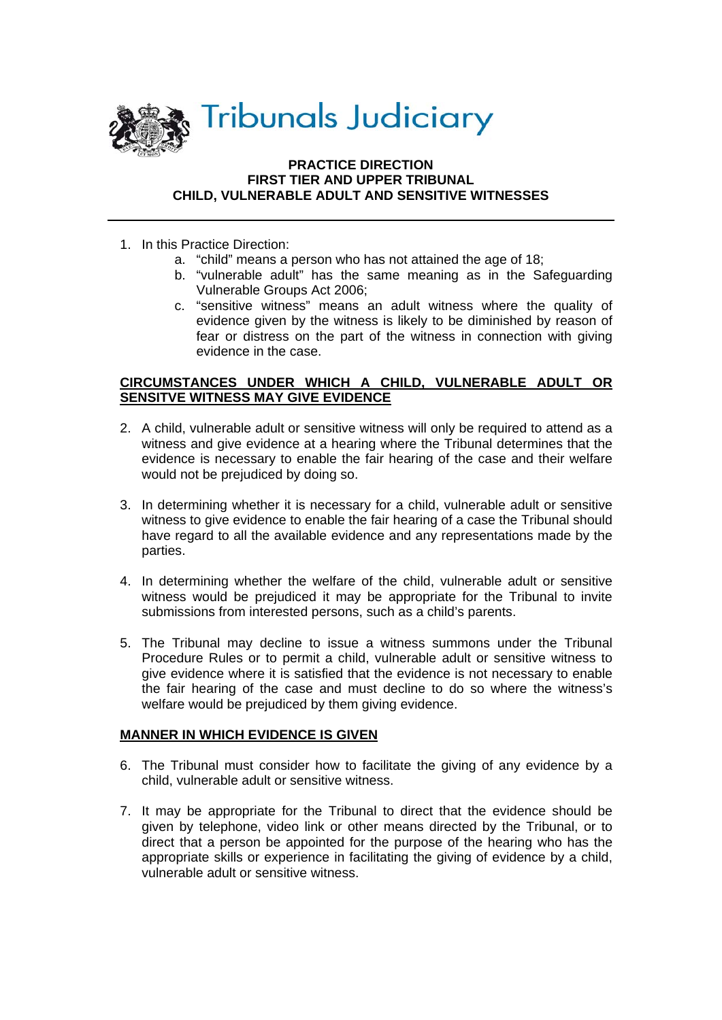

## **PRACTICE DIRECTION FIRST TIER AND UPPER TRIBUNAL CHILD, VULNERABLE ADULT AND SENSITIVE WITNESSES**

- 1. In this Practice Direction:
	- a. "child" means a person who has not attained the age of 18;
	- b. "vulnerable adult" has the same meaning as in the Safeguarding Vulnerable Groups Act 2006;
	- c. "sensitive witness" means an adult witness where the quality of evidence given by the witness is likely to be diminished by reason of fear or distress on the part of the witness in connection with giving evidence in the case.

## **CIRCUMSTANCES UNDER WHICH A CHILD, VULNERABLE ADULT OR SENSITVE WITNESS MAY GIVE EVIDENCE**

- 2. A child, vulnerable adult or sensitive witness will only be required to attend as a witness and give evidence at a hearing where the Tribunal determines that the evidence is necessary to enable the fair hearing of the case and their welfare would not be prejudiced by doing so.
- 3. In determining whether it is necessary for a child, vulnerable adult or sensitive witness to give evidence to enable the fair hearing of a case the Tribunal should have regard to all the available evidence and any representations made by the parties.
- 4. In determining whether the welfare of the child, vulnerable adult or sensitive witness would be prejudiced it may be appropriate for the Tribunal to invite submissions from interested persons, such as a child's parents.
- 5. The Tribunal may decline to issue a witness summons under the Tribunal Procedure Rules or to permit a child, vulnerable adult or sensitive witness to give evidence where it is satisfied that the evidence is not necessary to enable the fair hearing of the case and must decline to do so where the witness's welfare would be prejudiced by them giving evidence.

## **MANNER IN WHICH EVIDENCE IS GIVEN**

- 6. The Tribunal must consider how to facilitate the giving of any evidence by a child, vulnerable adult or sensitive witness.
- 7. It may be appropriate for the Tribunal to direct that the evidence should be given by telephone, video link or other means directed by the Tribunal, or to direct that a person be appointed for the purpose of the hearing who has the appropriate skills or experience in facilitating the giving of evidence by a child, vulnerable adult or sensitive witness.